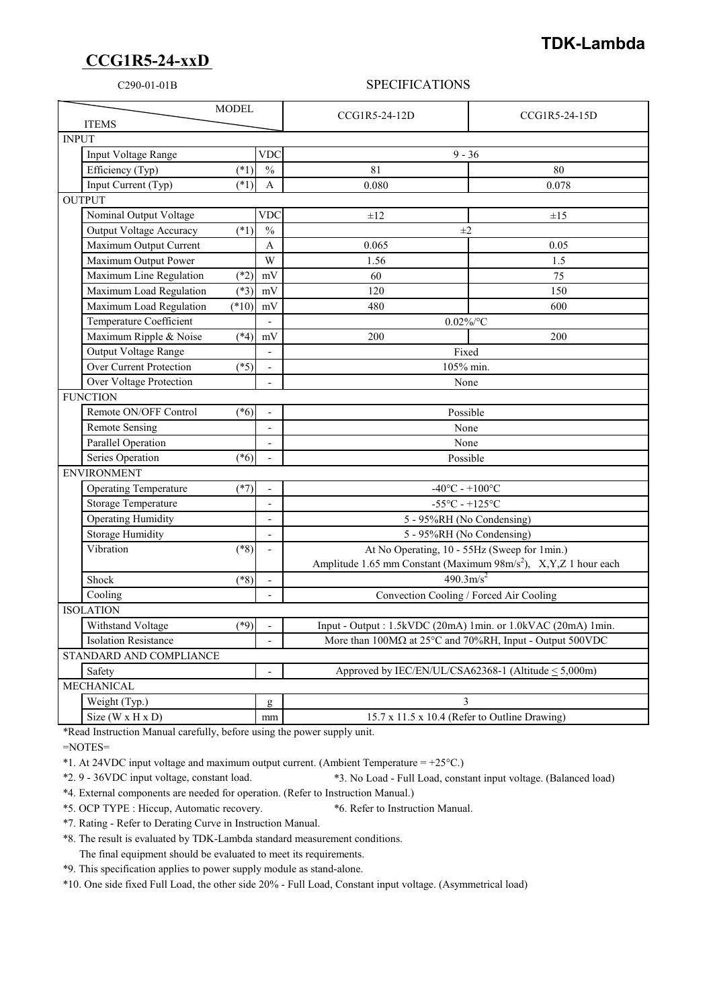## **CCG1R5-24-xxD**

## **TDK-Lambda**

## C290-01-01B SPECIFICATIONS

| <b>MODEL</b><br><b>ITEMS</b>           |                          | CCG1R5-24-12D                                                                                              | CCG1R5-24-15D |  |
|----------------------------------------|--------------------------|------------------------------------------------------------------------------------------------------------|---------------|--|
| <b>INPUT</b>                           |                          |                                                                                                            |               |  |
| Input Voltage Range                    | <b>VDC</b>               | $9 - 36$                                                                                                   |               |  |
| Efficiency (Typ)<br>$(*1)$             | $\frac{0}{0}$            | 81                                                                                                         | 80            |  |
| Input Current (Typ)<br>$(*1)$          |                          |                                                                                                            |               |  |
| <b>OUTPUT</b>                          | A                        | 0.080                                                                                                      | 0.078         |  |
| Nominal Output Voltage                 | <b>VDC</b>               | $\pm 12$                                                                                                   | $\pm 15$      |  |
| (1)<br>Output Voltage Accuracy         | $\frac{0}{0}$            | $\pm 2$                                                                                                    |               |  |
| Maximum Output Current                 | A                        | 0.065                                                                                                      | 0.05          |  |
| Maximum Output Power                   | W                        |                                                                                                            |               |  |
|                                        |                          | 1.56                                                                                                       | 1.5           |  |
| Maximum Line Regulation<br>$(*2)$      | mV                       | 60                                                                                                         | 75            |  |
| Maximum Load Regulation<br>$(*3)$      | mV                       | 120                                                                                                        | 150           |  |
| $(*10)$<br>Maximum Load Regulation     | mV                       | 480                                                                                                        | 600           |  |
| Temperature Coefficient                | $\overline{a}$           | $0.02\%$ /°C                                                                                               |               |  |
| Maximum Ripple & Noise<br>$(*4)$       | mV                       | 200                                                                                                        | 200           |  |
| Output Voltage Range                   |                          | Fixed                                                                                                      |               |  |
| Over Current Protection<br>$(*5)$      |                          | 105% min.                                                                                                  |               |  |
| Over Voltage Protection                |                          | None                                                                                                       |               |  |
| <b>FUNCTION</b>                        |                          |                                                                                                            |               |  |
| Remote ON/OFF Control<br>$(*6)$        |                          | Possible                                                                                                   |               |  |
| <b>Remote Sensing</b>                  | $\overline{\phantom{a}}$ | None                                                                                                       |               |  |
| Parallel Operation                     |                          | None                                                                                                       |               |  |
| Series Operation<br>$(*6)$             |                          | Possible                                                                                                   |               |  |
| <b>ENVIRONMENT</b>                     |                          |                                                                                                            |               |  |
| <b>Operating Temperature</b><br>$(*7)$ | $\overline{a}$           | $-40^{\circ}$ C - $+100^{\circ}$ C                                                                         |               |  |
| <b>Storage Temperature</b>             | $\overline{a}$           | $-55^{\circ}$ C - +125 $^{\circ}$ C                                                                        |               |  |
| <b>Operating Humidity</b>              | $\overline{\phantom{a}}$ | 5 - 95%RH (No Condensing)                                                                                  |               |  |
| <b>Storage Humidity</b>                | $\overline{a}$           | 5 - 95%RH (No Condensing)                                                                                  |               |  |
| Vibration<br>$(*8)$                    |                          | At No Operating, 10 - 55Hz (Sweep for 1min.)                                                               |               |  |
|                                        |                          | Amplitude 1.65 mm Constant (Maximum 98m/s <sup>2</sup> ), X,Y,Z 1 hour each                                |               |  |
| $(*8)$<br>Shock                        | $\sim$                   | $490.3 \text{m/s}^2$                                                                                       |               |  |
| Cooling                                | $\blacksquare$           | Convection Cooling / Forced Air Cooling                                                                    |               |  |
| <b>ISOLATION</b>                       |                          |                                                                                                            |               |  |
| Withstand Voltage<br>$(*9)$            |                          | Input - Output : 1.5kVDC (20mA) 1min. or 1.0kVAC (20mA) 1min.                                              |               |  |
| <b>Isolation Resistance</b>            |                          | More than $100\text{M}\Omega$ at $25^{\circ}\text{C}$ and $70\%$ RH, Input - Output $500\text{V}\text{DC}$ |               |  |
| STANDARD AND COMPLIANCE                |                          |                                                                                                            |               |  |
| Safety                                 |                          | Approved by IEC/EN/UL/CSA62368-1 (Altitude < 5,000m)                                                       |               |  |
| MECHANICAL                             |                          |                                                                                                            |               |  |
| Weight (Typ.)                          | g                        | 3                                                                                                          |               |  |
| Size ( $W \times H \times D$ )         | mm                       | 15.7 x 11.5 x 10.4 (Refer to Outline Drawing)                                                              |               |  |

\*Read Instruction Manual carefully, before using the power supply unit.

=NOTES=

\*1. At 24VDC input voltage and maximum output current. (Ambient Temperature = +25°C.)

\*2. 9 - 36VDC input voltage, constant load. \*3. No Load - Full Load, constant input voltage. (Balanced load)

\*4. External components are needed for operation. (Refer to Instruction Manual.)

\*5. OCP TYPE : Hiccup, Automatic recovery. \*6. Refer to Instruction Manual.

\*7. Rating - Refer to Derating Curve in Instruction Manual.

\*8. The result is evaluated by TDK-Lambda standard measurement conditions.

The final equipment should be evaluated to meet its requirements.

\*9. This specification applies to power supply module as stand-alone.

\*10. One side fixed Full Load, the other side 20% - Full Load, Constant input voltage. (Asymmetrical load)